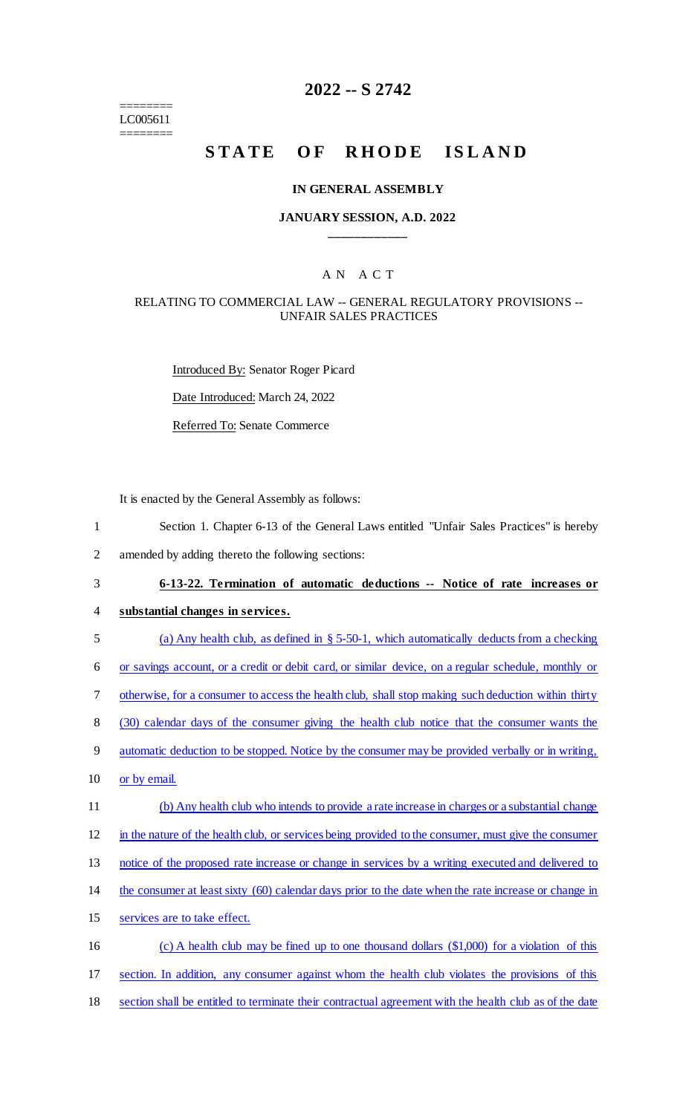======== LC005611 ========

# **2022 -- S 2742**

# STATE OF RHODE ISLAND

#### **IN GENERAL ASSEMBLY**

## **JANUARY SESSION, A.D. 2022 \_\_\_\_\_\_\_\_\_\_\_\_**

# A N A C T

# RELATING TO COMMERCIAL LAW -- GENERAL REGULATORY PROVISIONS -- UNFAIR SALES PRACTICES

Introduced By: Senator Roger Picard Date Introduced: March 24, 2022 Referred To: Senate Commerce

It is enacted by the General Assembly as follows:

- 1 Section 1. Chapter 6-13 of the General Laws entitled "Unfair Sales Practices" is hereby
- 2 amended by adding thereto the following sections:

# 3 **6-13-22. Termination of automatic deductions -- Notice of rate increases or**

- 4 **substantial changes in services.**
- 5 (a) Any health club, as defined in § 5-50-1, which automatically deducts from a checking
- 6 or savings account, or a credit or debit card, or similar device, on a regular schedule, monthly or
- 7 otherwise, for a consumer to access the health club, shall stop making such deduction within thirty
- 8 (30) calendar days of the consumer giving the health club notice that the consumer wants the
- 9 automatic deduction to be stopped. Notice by the consumer may be provided verbally or in writing,
- 10 or by email.
- 11 (b) Any health club who intends to provide a rate increase in charges or a substantial change
- 12 in the nature of the health club, or services being provided to the consumer, must give the consumer
- 13 notice of the proposed rate increase or change in services by a writing executed and delivered to
- 14 the consumer at least sixty (60) calendar days prior to the date when the rate increase or change in
- 15 services are to take effect.
- 16 (c) A health club may be fined up to one thousand dollars (\$1,000) for a violation of this 17 section. In addition, any consumer against whom the health club violates the provisions of this 18 section shall be entitled to terminate their contractual agreement with the health club as of the date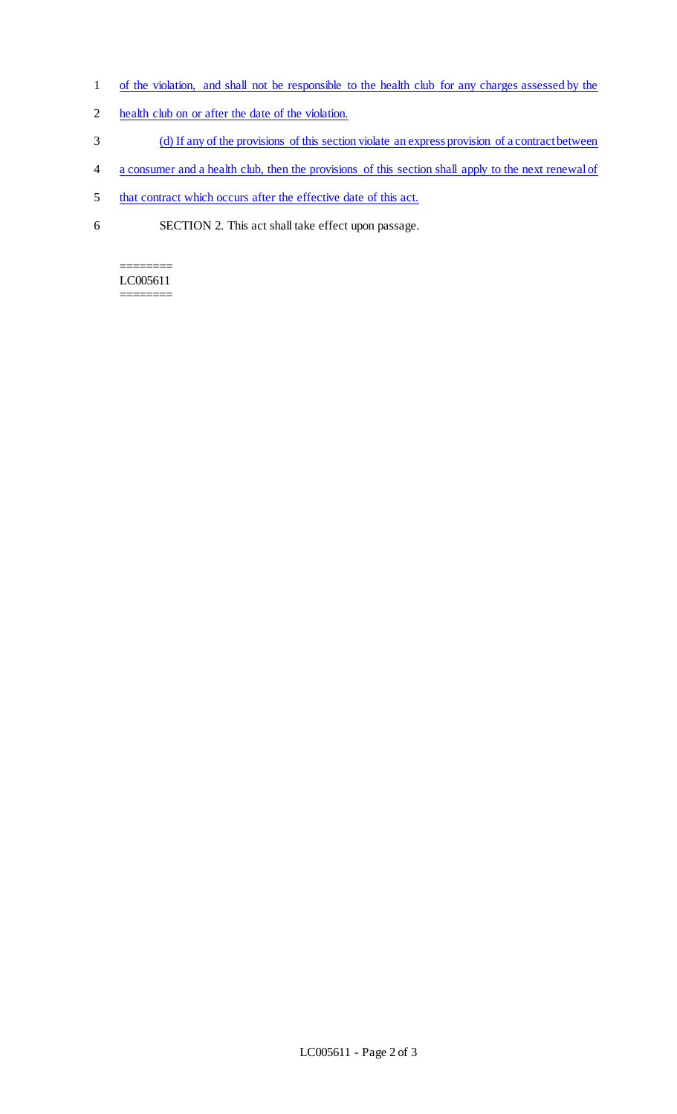- 1 of the violation, and shall not be responsible to the health club for any charges assessed by the
- 2 health club on or after the date of the violation.
- 3 (d) If any of the provisions of this section violate an express provision of a contract between
- 4 a consumer and a health club, then the provisions of this section shall apply to the next renewal of
- 5 that contract which occurs after the effective date of this act.
- 6 SECTION 2. This act shall take effect upon passage.

======== LC005611 ========